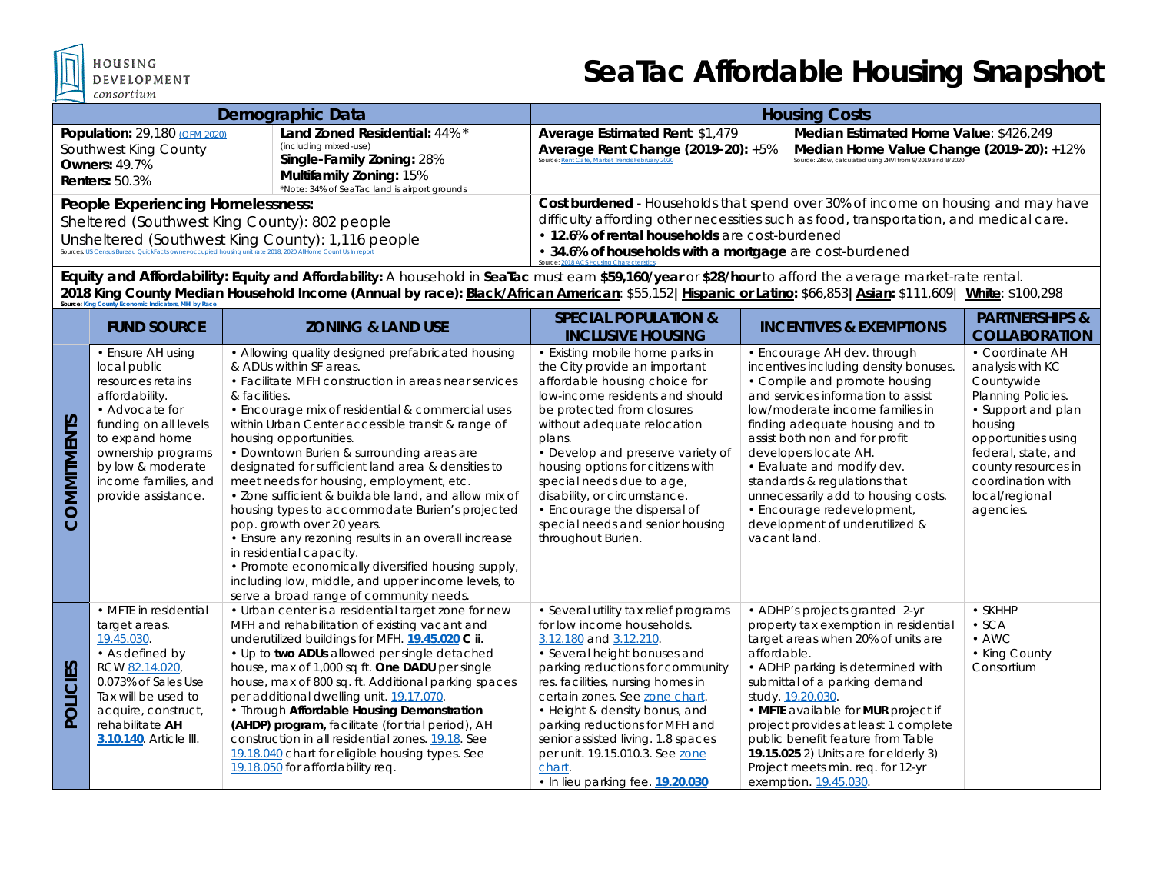

HOUSING OPMENT

## **SeaTac Affordable Housing Snapshot**

| Demographic Data                                                                                                                                                                                                                                       |                                                                                                                                                                       | <b>Housing Costs</b>                                                                                                                                                                                                                                                                                                                |                                                                                                                                                    |  |
|--------------------------------------------------------------------------------------------------------------------------------------------------------------------------------------------------------------------------------------------------------|-----------------------------------------------------------------------------------------------------------------------------------------------------------------------|-------------------------------------------------------------------------------------------------------------------------------------------------------------------------------------------------------------------------------------------------------------------------------------------------------------------------------------|----------------------------------------------------------------------------------------------------------------------------------------------------|--|
| Population: 29,180 (OFM 2020)<br>Southwest King County<br>Owners: $49.7\%$<br><b>Renters: 50.3%</b>                                                                                                                                                    | Land Zoned Residential: 44% *<br>(including mixed-use)<br>Single-Family Zoning: 28%<br><b>Multifamily Zoning: 15%</b><br>*Note: 34% of SeaTac land is airport grounds | Average Estimated Rent: \$1,479<br>Average Rent Change (2019-20): +5%<br>Source: Rent Café, Market Trends February 202                                                                                                                                                                                                              | Median Estimated Home Value: \$426,249<br>Median Home Value Change (2019-20): +12%<br>Source: Zillow, calculated using ZHVI from 9/2019 and 8/2020 |  |
| People Experiencing Homelessness:<br>Sheltered (Southwest King County): 802 people<br>Unsheltered (Southwest King County): 1,116 people<br>Sources: US Census Bureau QuickFacts owner-occupied housing unit rate 2018, 2020 AllHome Count Us In report |                                                                                                                                                                       | Cost burdened - Households that spend over 30% of income on housing and may have<br>difficulty affording other necessities such as food, transportation, and medical care.<br>• 12.6% of rental households are cost-burdened<br>• 34.6% of households with a mortgage are cost-burdened<br>Source: 2018 ACS Housing Characteristics |                                                                                                                                                    |  |

**Equity and Affordability: Equity and Affordability:** A household in **SeaTac** must earn **\$59,160/year** or **\$28/hour** to afford the average market-rate rental. **2018 King County Median Household Income (Annual by race): Black/African American**: \$55,152**|Hispanic or Latino:** \$66,853**|Asian:** \$111,609| **White**: \$100,298 **Source: King** 

|                       | <b>FUND SOURCE</b>                                                                                                                                                                                                              | <b>ZONING &amp; LAND USE</b>                                                                                                                                                                                                                                                                                                                                                                                                                                                                                                                                                                                                                                                                                                                                                                                                | <b>SPECIAL POPULATION &amp;</b><br><b>INCLUSIVE HOUSING</b>                                                                                                                                                                                                                                                                                                                                                                                  | <b>INCENTIVES &amp; EXEMPTIONS</b>                                                                                                                                                                                                                                                                                                                                                                                                                                | <b>PARTNERSHIPS &amp;</b><br><b>COLLABORATION</b>                                                                                                                                                                                 |
|-----------------------|---------------------------------------------------------------------------------------------------------------------------------------------------------------------------------------------------------------------------------|-----------------------------------------------------------------------------------------------------------------------------------------------------------------------------------------------------------------------------------------------------------------------------------------------------------------------------------------------------------------------------------------------------------------------------------------------------------------------------------------------------------------------------------------------------------------------------------------------------------------------------------------------------------------------------------------------------------------------------------------------------------------------------------------------------------------------------|----------------------------------------------------------------------------------------------------------------------------------------------------------------------------------------------------------------------------------------------------------------------------------------------------------------------------------------------------------------------------------------------------------------------------------------------|-------------------------------------------------------------------------------------------------------------------------------------------------------------------------------------------------------------------------------------------------------------------------------------------------------------------------------------------------------------------------------------------------------------------------------------------------------------------|-----------------------------------------------------------------------------------------------------------------------------------------------------------------------------------------------------------------------------------|
| OMMITMENTS<br>$\circ$ | • Ensure AH using<br>local public<br>resources retains<br>affordability.<br>• Advocate for<br>funding on all levels<br>to expand home<br>ownership programs<br>by low & moderate<br>income families, and<br>provide assistance. | • Allowing quality designed prefabricated housing<br>& ADUs within SF areas.<br>• Facilitate MFH construction in areas near services<br>& facilities.<br>• Encourage mix of residential & commercial uses<br>within Urban Center accessible transit & range of<br>housing opportunities.<br>• Downtown Burien & surrounding areas are<br>designated for sufficient land area & densities to<br>meet needs for housing, employment, etc.<br>• Zone sufficient & buildable land, and allow mix of<br>housing types to accommodate Burien's projected<br>pop. growth over 20 years.<br>• Ensure any rezoning results in an overall increase<br>in residential capacity.<br>• Promote economically diversified housing supply,<br>including low, middle, and upper income levels, to<br>serve a broad range of community needs. | • Existing mobile home parks in<br>the City provide an important<br>affordable housing choice for<br>low-income residents and should<br>be protected from closures<br>without adequate relocation<br>plans.<br>• Develop and preserve variety of<br>housing options for citizens with<br>special needs due to age,<br>disability, or circumstance.<br>• Encourage the dispersal of<br>special needs and senior housing<br>throughout Burien. | • Encourage AH dev. through<br>incentives including density bonuses.<br>• Compile and promote housing<br>and services information to assist<br>low/moderate income families in<br>finding adequate housing and to<br>assist both non and for profit<br>developers locate AH.<br>• Evaluate and modify dev.<br>standards & regulations that<br>unnecessarily add to housing costs.<br>• Encourage redevelopment,<br>development of underutilized &<br>vacant land. | • Coordinate AH<br>analysis with KC<br>Countywide<br>Planning Policies.<br>• Support and plan<br>housing<br>opportunities using<br>federal, state, and<br>county resources in<br>coordination with<br>local/regional<br>agencies. |
| POLICIES              | • MFTE in residential<br>target areas.<br>19.45.030.<br>• As defined by<br>RCW 82.14.020,<br>0.073% of Sales Use<br>Tax will be used to<br>acquire, construct,<br>rehabilitate AH<br>3.10.140. Article III.                     | • Urban center is a residential target zone for new<br>MFH and rehabilitation of existing vacant and<br>underutilized buildings for MFH. 19.45.020 C ii.<br>• Up to two ADUs allowed per single detached<br>house, max of 1,000 sq ft. One DADU per single<br>house, max of 800 sq. ft. Additional parking spaces<br>per additional dwelling unit. 19.17.070.<br>• Through Affordable Housing Demonstration<br>(AHDP) program, facilitate (for trial period), AH<br>construction in all residential zones. 19.18. See<br>19.18.040 chart for eligible housing types. See<br>19.18.050 for affordability req.                                                                                                                                                                                                                | • Several utility tax relief programs<br>for low income households.<br>3.12.180 and 3.12.210.<br>• Several height bonuses and<br>parking reductions for community<br>res. facilities, nursing homes in<br>certain zones. See zone chart.<br>• Height & density bonus, and<br>parking reductions for MFH and<br>senior assisted living. 1.8 spaces<br>per unit. 19.15.010.3. See zone<br>chart.<br>. In lieu parking fee. 19.20.030           | • ADHP's projects granted 2-yr<br>property tax exemption in residential<br>target areas when 20% of units are<br>affordable.<br>• ADHP parking is determined with<br>submittal of a parking demand<br>study. 19.20.030.<br>• MFTE available for MUR project if<br>project provides at least 1 complete<br>public benefit feature from Table<br>19.15.025 2) Units are for elderly 3)<br>Project meets min. req. for 12-yr<br>exemption. 19.45.030.                | $\cdot$ SKHHP<br>$\cdot$ SCA<br>$\bullet$ AWC<br>• King County<br>Consortium                                                                                                                                                      |